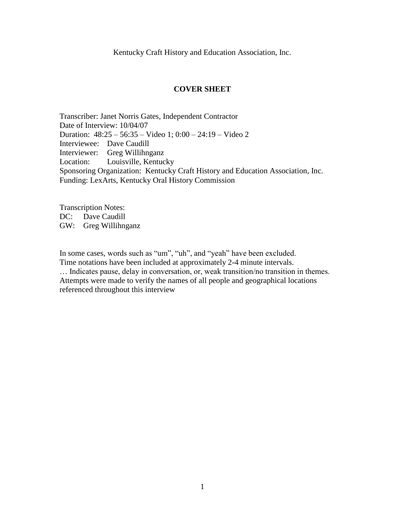Kentucky Craft History and Education Association, Inc.

#### **COVER SHEET**

Transcriber: Janet Norris Gates, Independent Contractor Date of Interview: 10/04/07 Duration: 48:25 – 56:35 – Video 1; 0:00 – 24:19 – Video 2 Interviewee: Dave Caudill Interviewer: Greg Willihnganz Location: Louisville, Kentucky Sponsoring Organization: Kentucky Craft History and Education Association, Inc. Funding: LexArts, Kentucky Oral History Commission

Transcription Notes: DC: Dave Caudill GW: Greg Willihnganz

In some cases, words such as "um", "uh", and "yeah" have been excluded. Time notations have been included at approximately 2-4 minute intervals.

… Indicates pause, delay in conversation, or, weak transition/no transition in themes. Attempts were made to verify the names of all people and geographical locations referenced throughout this interview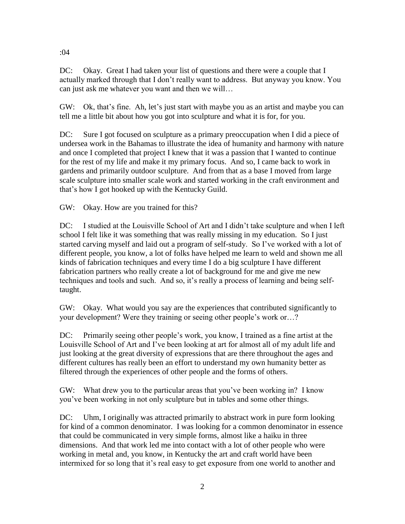DC: Okay. Great I had taken your list of questions and there were a couple that I actually marked through that I don't really want to address. But anyway you know. You can just ask me whatever you want and then we will…

GW: Ok, that's fine. Ah, let's just start with maybe you as an artist and maybe you can tell me a little bit about how you got into sculpture and what it is for, for you.

DC: Sure I got focused on sculpture as a primary preoccupation when I did a piece of undersea work in the Bahamas to illustrate the idea of humanity and harmony with nature and once I completed that project I knew that it was a passion that I wanted to continue for the rest of my life and make it my primary focus. And so, I came back to work in gardens and primarily outdoor sculpture. And from that as a base I moved from large scale sculpture into smaller scale work and started working in the craft environment and that's how I got hooked up with the Kentucky Guild.

GW: Okay. How are you trained for this?

DC: I studied at the Louisville School of Art and I didn't take sculpture and when I left school I felt like it was something that was really missing in my education. So I just started carving myself and laid out a program of self-study. So I've worked with a lot of different people, you know, a lot of folks have helped me learn to weld and shown me all kinds of fabrication techniques and every time I do a big sculpture I have different fabrication partners who really create a lot of background for me and give me new techniques and tools and such. And so, it's really a process of learning and being selftaught.

GW: Okay. What would you say are the experiences that contributed significantly to your development? Were they training or seeing other people's work or…?

DC: Primarily seeing other people's work, you know, I trained as a fine artist at the Louisville School of Art and I've been looking at art for almost all of my adult life and just looking at the great diversity of expressions that are there throughout the ages and different cultures has really been an effort to understand my own humanity better as filtered through the experiences of other people and the forms of others.

GW: What drew you to the particular areas that you've been working in? I know you've been working in not only sculpture but in tables and some other things.

DC: Uhm, I originally was attracted primarily to abstract work in pure form looking for kind of a common denominator. I was looking for a common denominator in essence that could be communicated in very simple forms, almost like a haiku in three dimensions. And that work led me into contact with a lot of other people who were working in metal and, you know, in Kentucky the art and craft world have been intermixed for so long that it's real easy to get exposure from one world to another and

:04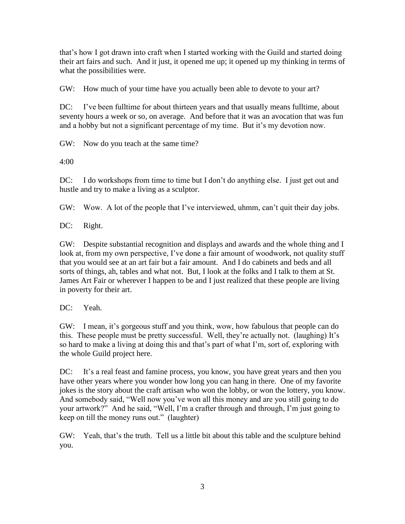that's how I got drawn into craft when I started working with the Guild and started doing their art fairs and such. And it just, it opened me up; it opened up my thinking in terms of what the possibilities were.

GW: How much of your time have you actually been able to devote to your art?

DC: I've been fulltime for about thirteen years and that usually means fulltime, about seventy hours a week or so, on average. And before that it was an avocation that was fun and a hobby but not a significant percentage of my time. But it's my devotion now.

GW: Now do you teach at the same time?

4:00

DC: I do workshops from time to time but I don't do anything else. I just get out and hustle and try to make a living as a sculptor.

GW: Wow. A lot of the people that I've interviewed, uhmm, can't quit their day jobs.

DC: Right.

GW: Despite substantial recognition and displays and awards and the whole thing and I look at, from my own perspective, I've done a fair amount of woodwork, not quality stuff that you would see at an art fair but a fair amount. And I do cabinets and beds and all sorts of things, ah, tables and what not. But, I look at the folks and I talk to them at St. James Art Fair or wherever I happen to be and I just realized that these people are living in poverty for their art.

DC: Yeah.

GW: I mean, it's gorgeous stuff and you think, wow, how fabulous that people can do this. These people must be pretty successful. Well, they're actually not. (laughing) It's so hard to make a living at doing this and that's part of what I'm, sort of, exploring with the whole Guild project here.

DC: It's a real feast and famine process, you know, you have great years and then you have other years where you wonder how long you can hang in there. One of my favorite jokes is the story about the craft artisan who won the lobby, or won the lottery, you know. And somebody said, "Well now you've won all this money and are you still going to do your artwork?" And he said, "Well, I'm a crafter through and through, I'm just going to keep on till the money runs out." (laughter)

GW: Yeah, that's the truth. Tell us a little bit about this table and the sculpture behind you.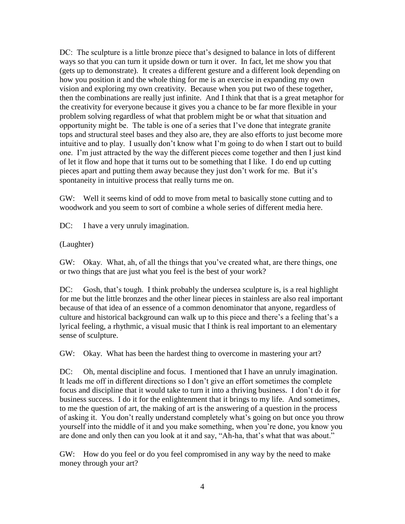DC: The sculpture is a little bronze piece that's designed to balance in lots of different ways so that you can turn it upside down or turn it over. In fact, let me show you that (gets up to demonstrate). It creates a different gesture and a different look depending on how you position it and the whole thing for me is an exercise in expanding my own vision and exploring my own creativity. Because when you put two of these together, then the combinations are really just infinite. And I think that that is a great metaphor for the creativity for everyone because it gives you a chance to be far more flexible in your problem solving regardless of what that problem might be or what that situation and opportunity might be. The table is one of a series that I've done that integrate granite tops and structural steel bases and they also are, they are also efforts to just become more intuitive and to play. I usually don't know what I'm going to do when I start out to build one. I'm just attracted by the way the different pieces come together and then I just kind of let it flow and hope that it turns out to be something that I like. I do end up cutting pieces apart and putting them away because they just don't work for me. But it's spontaneity in intuitive process that really turns me on.

GW: Well it seems kind of odd to move from metal to basically stone cutting and to woodwork and you seem to sort of combine a whole series of different media here.

DC: I have a very unruly imagination.

(Laughter)

GW: Okay. What, ah, of all the things that you've created what, are there things, one or two things that are just what you feel is the best of your work?

DC: Gosh, that's tough. I think probably the undersea sculpture is, is a real highlight for me but the little bronzes and the other linear pieces in stainless are also real important because of that idea of an essence of a common denominator that anyone, regardless of culture and historical background can walk up to this piece and there's a feeling that's a lyrical feeling, a rhythmic, a visual music that I think is real important to an elementary sense of sculpture.

GW: Okay. What has been the hardest thing to overcome in mastering your art?

DC: Oh, mental discipline and focus. I mentioned that I have an unruly imagination. It leads me off in different directions so I don't give an effort sometimes the complete focus and discipline that it would take to turn it into a thriving business. I don't do it for business success. I do it for the enlightenment that it brings to my life. And sometimes, to me the question of art, the making of art is the answering of a question in the process of asking it. You don't really understand completely what's going on but once you throw yourself into the middle of it and you make something, when you're done, you know you are done and only then can you look at it and say, "Ah-ha, that's what that was about."

GW: How do you feel or do you feel compromised in any way by the need to make money through your art?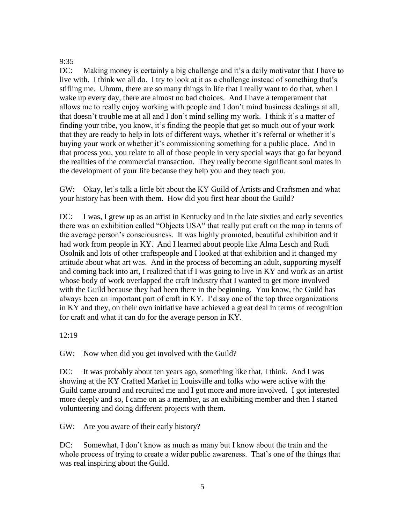### 9:35

DC: Making money is certainly a big challenge and it's a daily motivator that I have to live with. I think we all do. I try to look at it as a challenge instead of something that's stifling me. Uhmm, there are so many things in life that I really want to do that, when I wake up every day, there are almost no bad choices. And I have a temperament that allows me to really enjoy working with people and I don't mind business dealings at all, that doesn't trouble me at all and I don't mind selling my work. I think it's a matter of finding your tribe, you know, it's finding the people that get so much out of your work that they are ready to help in lots of different ways, whether it's referral or whether it's buying your work or whether it's commissioning something for a public place. And in that process you, you relate to all of those people in very special ways that go far beyond the realities of the commercial transaction. They really become significant soul mates in the development of your life because they help you and they teach you.

GW: Okay, let's talk a little bit about the KY Guild of Artists and Craftsmen and what your history has been with them. How did you first hear about the Guild?

DC: I was, I grew up as an artist in Kentucky and in the late sixties and early seventies there was an exhibition called "Objects USA" that really put craft on the map in terms of the average person's consciousness. It was highly promoted, beautiful exhibition and it had work from people in KY. And I learned about people like Alma Lesch and Rudi Osolnik and lots of other craftspeople and I looked at that exhibition and it changed my attitude about what art was. And in the process of becoming an adult, supporting myself and coming back into art, I realized that if I was going to live in KY and work as an artist whose body of work overlapped the craft industry that I wanted to get more involved with the Guild because they had been there in the beginning. You know, the Guild has always been an important part of craft in KY. I'd say one of the top three organizations in KY and they, on their own initiative have achieved a great deal in terms of recognition for craft and what it can do for the average person in KY.

12:19

GW: Now when did you get involved with the Guild?

DC: It was probably about ten years ago, something like that, I think. And I was showing at the KY Crafted Market in Louisville and folks who were active with the Guild came around and recruited me and I got more and more involved. I got interested more deeply and so, I came on as a member, as an exhibiting member and then I started volunteering and doing different projects with them.

GW: Are you aware of their early history?

DC: Somewhat, I don't know as much as many but I know about the train and the whole process of trying to create a wider public awareness. That's one of the things that was real inspiring about the Guild.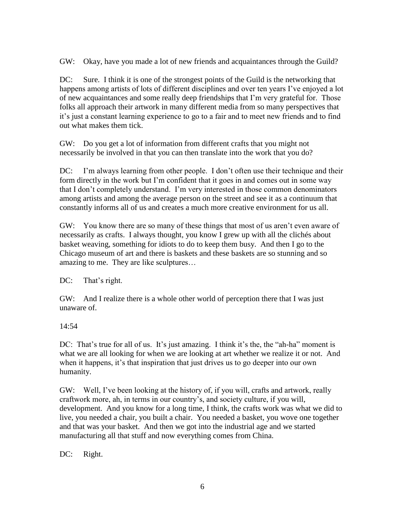GW: Okay, have you made a lot of new friends and acquaintances through the Guild?

DC: Sure. I think it is one of the strongest points of the Guild is the networking that happens among artists of lots of different disciplines and over ten years I've enjoyed a lot of new acquaintances and some really deep friendships that I'm very grateful for. Those folks all approach their artwork in many different media from so many perspectives that it's just a constant learning experience to go to a fair and to meet new friends and to find out what makes them tick.

GW: Do you get a lot of information from different crafts that you might not necessarily be involved in that you can then translate into the work that you do?

DC: I'm always learning from other people. I don't often use their technique and their form directly in the work but I'm confident that it goes in and comes out in some way that I don't completely understand. I'm very interested in those common denominators among artists and among the average person on the street and see it as a continuum that constantly informs all of us and creates a much more creative environment for us all.

GW: You know there are so many of these things that most of us aren't even aware of necessarily as crafts. I always thought, you know I grew up with all the clichés about basket weaving, something for idiots to do to keep them busy. And then I go to the Chicago museum of art and there is baskets and these baskets are so stunning and so amazing to me. They are like sculptures…

DC: That's right.

GW: And I realize there is a whole other world of perception there that I was just unaware of.

14:54

DC: That's true for all of us. It's just amazing. I think it's the, the "ah-ha" moment is what we are all looking for when we are looking at art whether we realize it or not. And when it happens, it's that inspiration that just drives us to go deeper into our own humanity.

GW: Well, I've been looking at the history of, if you will, crafts and artwork, really craftwork more, ah, in terms in our country's, and society culture, if you will, development. And you know for a long time, I think, the crafts work was what we did to live, you needed a chair, you built a chair. You needed a basket, you wove one together and that was your basket. And then we got into the industrial age and we started manufacturing all that stuff and now everything comes from China.

DC: Right.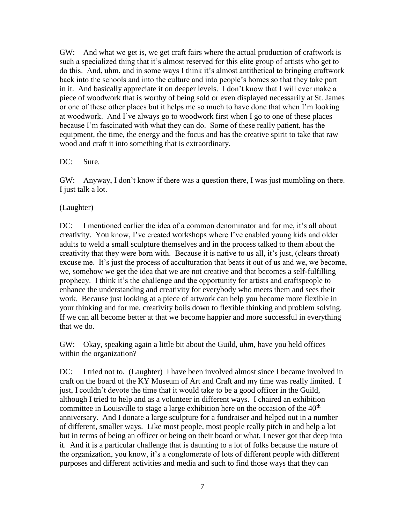GW: And what we get is, we get craft fairs where the actual production of craftwork is such a specialized thing that it's almost reserved for this elite group of artists who get to do this. And, uhm, and in some ways I think it's almost antithetical to bringing craftwork back into the schools and into the culture and into people's homes so that they take part in it. And basically appreciate it on deeper levels. I don't know that I will ever make a piece of woodwork that is worthy of being sold or even displayed necessarily at St. James or one of these other places but it helps me so much to have done that when I'm looking at woodwork. And I've always go to woodwork first when I go to one of these places because I'm fascinated with what they can do. Some of these really patient, has the equipment, the time, the energy and the focus and has the creative spirit to take that raw wood and craft it into something that is extraordinary.

### DC: Sure.

GW: Anyway, I don't know if there was a question there, I was just mumbling on there. I just talk a lot.

# (Laughter)

DC: I mentioned earlier the idea of a common denominator and for me, it's all about creativity. You know, I've created workshops where I've enabled young kids and older adults to weld a small sculpture themselves and in the process talked to them about the creativity that they were born with. Because it is native to us all, it's just, (clears throat) excuse me. It's just the process of acculturation that beats it out of us and we, we become, we, somehow we get the idea that we are not creative and that becomes a self-fulfilling prophecy. I think it's the challenge and the opportunity for artists and craftspeople to enhance the understanding and creativity for everybody who meets them and sees their work. Because just looking at a piece of artwork can help you become more flexible in your thinking and for me, creativity boils down to flexible thinking and problem solving. If we can all become better at that we become happier and more successful in everything that we do.

GW: Okay, speaking again a little bit about the Guild, uhm, have you held offices within the organization?

DC: I tried not to. (Laughter) I have been involved almost since I became involved in craft on the board of the KY Museum of Art and Craft and my time was really limited. I just, I couldn't devote the time that it would take to be a good officer in the Guild, although I tried to help and as a volunteer in different ways. I chaired an exhibition committee in Louisville to stage a large exhibition here on the occasion of the  $40<sup>th</sup>$ anniversary. And I donate a large sculpture for a fundraiser and helped out in a number of different, smaller ways. Like most people, most people really pitch in and help a lot but in terms of being an officer or being on their board or what, I never got that deep into it. And it is a particular challenge that is daunting to a lot of folks because the nature of the organization, you know, it's a conglomerate of lots of different people with different purposes and different activities and media and such to find those ways that they can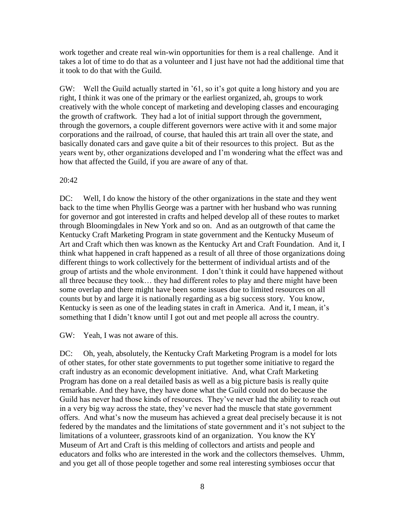work together and create real win-win opportunities for them is a real challenge. And it takes a lot of time to do that as a volunteer and I just have not had the additional time that it took to do that with the Guild.

GW: Well the Guild actually started in '61, so it's got quite a long history and you are right, I think it was one of the primary or the earliest organized, ah, groups to work creatively with the whole concept of marketing and developing classes and encouraging the growth of craftwork. They had a lot of initial support through the government, through the governors, a couple different governors were active with it and some major corporations and the railroad, of course, that hauled this art train all over the state, and basically donated cars and gave quite a bit of their resources to this project. But as the years went by, other organizations developed and I'm wondering what the effect was and how that affected the Guild, if you are aware of any of that.

#### 20:42

DC: Well, I do know the history of the other organizations in the state and they went back to the time when Phyllis George was a partner with her husband who was running for governor and got interested in crafts and helped develop all of these routes to market through Bloomingdales in New York and so on. And as an outgrowth of that came the Kentucky Craft Marketing Program in state government and the Kentucky Museum of Art and Craft which then was known as the Kentucky Art and Craft Foundation. And it, I think what happened in craft happened as a result of all three of those organizations doing different things to work collectively for the betterment of individual artists and of the group of artists and the whole environment. I don't think it could have happened without all three because they took… they had different roles to play and there might have been some overlap and there might have been some issues due to limited resources on all counts but by and large it is nationally regarding as a big success story. You know, Kentucky is seen as one of the leading states in craft in America. And it, I mean, it's something that I didn't know until I got out and met people all across the country.

GW: Yeah, I was not aware of this.

DC: Oh, yeah, absolutely, the Kentucky Craft Marketing Program is a model for lots of other states, for other state governments to put together some initiative to regard the craft industry as an economic development initiative. And, what Craft Marketing Program has done on a real detailed basis as well as a big picture basis is really quite remarkable. And they have, they have done what the Guild could not do because the Guild has never had those kinds of resources. They've never had the ability to reach out in a very big way across the state, they've never had the muscle that state government offers. And what's now the museum has achieved a great deal precisely because it is not federed by the mandates and the limitations of state government and it's not subject to the limitations of a volunteer, grassroots kind of an organization. You know the KY Museum of Art and Craft is this melding of collectors and artists and people and educators and folks who are interested in the work and the collectors themselves. Uhmm, and you get all of those people together and some real interesting symbioses occur that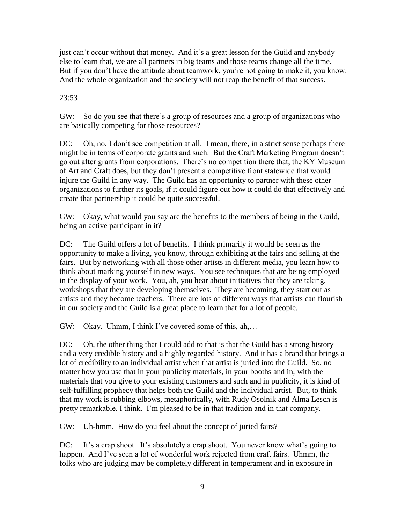just can't occur without that money. And it's a great lesson for the Guild and anybody else to learn that, we are all partners in big teams and those teams change all the time. But if you don't have the attitude about teamwork, you're not going to make it, you know. And the whole organization and the society will not reap the benefit of that success.

# 23:53

GW: So do you see that there's a group of resources and a group of organizations who are basically competing for those resources?

DC: Oh, no, I don't see competition at all. I mean, there, in a strict sense perhaps there might be in terms of corporate grants and such. But the Craft Marketing Program doesn't go out after grants from corporations. There's no competition there that, the KY Museum of Art and Craft does, but they don't present a competitive front statewide that would injure the Guild in any way. The Guild has an opportunity to partner with these other organizations to further its goals, if it could figure out how it could do that effectively and create that partnership it could be quite successful.

GW: Okay, what would you say are the benefits to the members of being in the Guild, being an active participant in it?

DC: The Guild offers a lot of benefits. I think primarily it would be seen as the opportunity to make a living, you know, through exhibiting at the fairs and selling at the fairs. But by networking with all those other artists in different media, you learn how to think about marking yourself in new ways. You see techniques that are being employed in the display of your work. You, ah, you hear about initiatives that they are taking, workshops that they are developing themselves. They are becoming, they start out as artists and they become teachers. There are lots of different ways that artists can flourish in our society and the Guild is a great place to learn that for a lot of people.

GW: Okay. Uhmm, I think I've covered some of this, ah,…

DC: Oh, the other thing that I could add to that is that the Guild has a strong history and a very credible history and a highly regarded history. And it has a brand that brings a lot of credibility to an individual artist when that artist is juried into the Guild. So, no matter how you use that in your publicity materials, in your booths and in, with the materials that you give to your existing customers and such and in publicity, it is kind of self-fulfilling prophecy that helps both the Guild and the individual artist. But, to think that my work is rubbing elbows, metaphorically, with Rudy Osolnik and Alma Lesch is pretty remarkable, I think. I'm pleased to be in that tradition and in that company.

GW: Uh-hmm. How do you feel about the concept of juried fairs?

DC: It's a crap shoot. It's absolutely a crap shoot. You never know what's going to happen. And I've seen a lot of wonderful work rejected from craft fairs. Uhmm, the folks who are judging may be completely different in temperament and in exposure in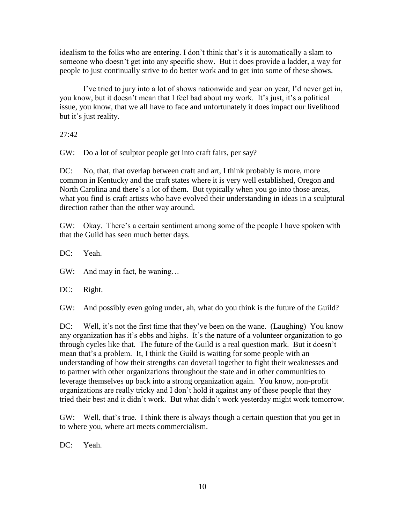idealism to the folks who are entering. I don't think that's it is automatically a slam to someone who doesn't get into any specific show. But it does provide a ladder, a way for people to just continually strive to do better work and to get into some of these shows.

I've tried to jury into a lot of shows nationwide and year on year, I'd never get in, you know, but it doesn't mean that I feel bad about my work. It's just, it's a political issue, you know, that we all have to face and unfortunately it does impact our livelihood but it's just reality.

27:42

GW: Do a lot of sculptor people get into craft fairs, per say?

DC: No, that, that overlap between craft and art, I think probably is more, more common in Kentucky and the craft states where it is very well established, Oregon and North Carolina and there's a lot of them. But typically when you go into those areas, what you find is craft artists who have evolved their understanding in ideas in a sculptural direction rather than the other way around.

GW: Okay. There's a certain sentiment among some of the people I have spoken with that the Guild has seen much better days.

DC: Yeah.

GW: And may in fact, be waning…

DC: Right.

GW: And possibly even going under, ah, what do you think is the future of the Guild?

DC: Well, it's not the first time that they've been on the wane. (Laughing) You know any organization has it's ebbs and highs. It's the nature of a volunteer organization to go through cycles like that. The future of the Guild is a real question mark. But it doesn't mean that's a problem. It, I think the Guild is waiting for some people with an understanding of how their strengths can dovetail together to fight their weaknesses and to partner with other organizations throughout the state and in other communities to leverage themselves up back into a strong organization again. You know, non-profit organizations are really tricky and I don't hold it against any of these people that they tried their best and it didn't work. But what didn't work yesterday might work tomorrow.

GW: Well, that's true. I think there is always though a certain question that you get in to where you, where art meets commercialism.

DC: Yeah.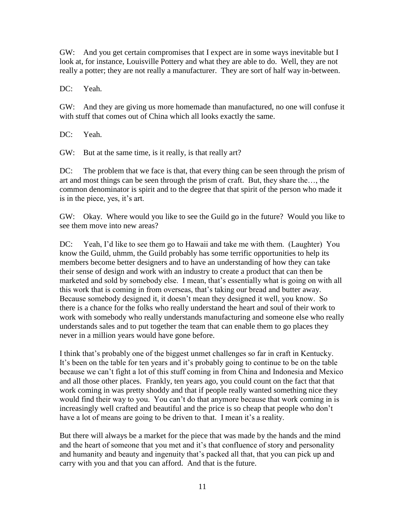GW: And you get certain compromises that I expect are in some ways inevitable but I look at, for instance, Louisville Pottery and what they are able to do. Well, they are not really a potter; they are not really a manufacturer. They are sort of half way in-between.

DC: Yeah.

GW: And they are giving us more homemade than manufactured, no one will confuse it with stuff that comes out of China which all looks exactly the same.

DC: Yeah.

GW: But at the same time, is it really, is that really art?

DC: The problem that we face is that, that every thing can be seen through the prism of art and most things can be seen through the prism of craft. But, they share the…, the common denominator is spirit and to the degree that that spirit of the person who made it is in the piece, yes, it's art.

GW: Okay. Where would you like to see the Guild go in the future? Would you like to see them move into new areas?

DC: Yeah, I'd like to see them go to Hawaii and take me with them. (Laughter) You know the Guild, uhmm, the Guild probably has some terrific opportunities to help its members become better designers and to have an understanding of how they can take their sense of design and work with an industry to create a product that can then be marketed and sold by somebody else. I mean, that's essentially what is going on with all this work that is coming in from overseas, that's taking our bread and butter away. Because somebody designed it, it doesn't mean they designed it well, you know. So there is a chance for the folks who really understand the heart and soul of their work to work with somebody who really understands manufacturing and someone else who really understands sales and to put together the team that can enable them to go places they never in a million years would have gone before.

I think that's probably one of the biggest unmet challenges so far in craft in Kentucky. It's been on the table for ten years and it's probably going to continue to be on the table because we can't fight a lot of this stuff coming in from China and Indonesia and Mexico and all those other places. Frankly, ten years ago, you could count on the fact that that work coming in was pretty shoddy and that if people really wanted something nice they would find their way to you. You can't do that anymore because that work coming in is increasingly well crafted and beautiful and the price is so cheap that people who don't have a lot of means are going to be driven to that. I mean it's a reality.

But there will always be a market for the piece that was made by the hands and the mind and the heart of someone that you met and it's that confluence of story and personality and humanity and beauty and ingenuity that's packed all that, that you can pick up and carry with you and that you can afford. And that is the future.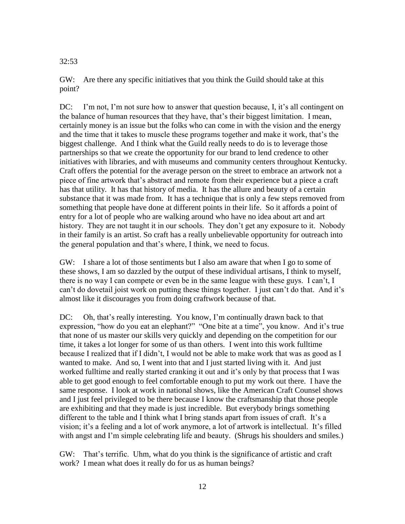## 32:53

GW: Are there any specific initiatives that you think the Guild should take at this point?

DC: I'm not, I'm not sure how to answer that question because, I, it's all contingent on the balance of human resources that they have, that's their biggest limitation. I mean, certainly money is an issue but the folks who can come in with the vision and the energy and the time that it takes to muscle these programs together and make it work, that's the biggest challenge. And I think what the Guild really needs to do is to leverage those partnerships so that we create the opportunity for our brand to lend credence to other initiatives with libraries, and with museums and community centers throughout Kentucky. Craft offers the potential for the average person on the street to embrace an artwork not a piece of fine artwork that's abstract and remote from their experience but a piece a craft has that utility. It has that history of media. It has the allure and beauty of a certain substance that it was made from. It has a technique that is only a few steps removed from something that people have done at different points in their life. So it affords a point of entry for a lot of people who are walking around who have no idea about art and art history. They are not taught it in our schools. They don't get any exposure to it. Nobody in their family is an artist. So craft has a really unbelievable opportunity for outreach into the general population and that's where, I think, we need to focus.

GW: I share a lot of those sentiments but I also am aware that when I go to some of these shows, I am so dazzled by the output of these individual artisans, I think to myself, there is no way I can compete or even be in the same league with these guys. I can't, I can't do dovetail joist work on putting these things together. I just can't do that. And it's almost like it discourages you from doing craftwork because of that.

DC: Oh, that's really interesting. You know, I'm continually drawn back to that expression, "how do you eat an elephant?" "One bite at a time", you know. And it's true that none of us master our skills very quickly and depending on the competition for our time, it takes a lot longer for some of us than others. I went into this work fulltime because I realized that if I didn't, I would not be able to make work that was as good as I wanted to make. And so, I went into that and I just started living with it. And just worked fulltime and really started cranking it out and it's only by that process that I was able to get good enough to feel comfortable enough to put my work out there. I have the same response. I look at work in national shows, like the American Craft Counsel shows and I just feel privileged to be there because I know the craftsmanship that those people are exhibiting and that they made is just incredible. But everybody brings something different to the table and I think what I bring stands apart from issues of craft. It's a vision; it's a feeling and a lot of work anymore, a lot of artwork is intellectual. It's filled with angst and I'm simple celebrating life and beauty. (Shrugs his shoulders and smiles.)

GW: That's terrific. Uhm, what do you think is the significance of artistic and craft work? I mean what does it really do for us as human beings?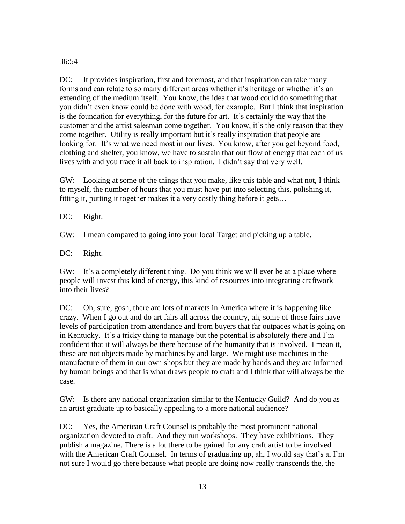# 36:54

DC: It provides inspiration, first and foremost, and that inspiration can take many forms and can relate to so many different areas whether it's heritage or whether it's an extending of the medium itself. You know, the idea that wood could do something that you didn't even know could be done with wood, for example. But I think that inspiration is the foundation for everything, for the future for art. It's certainly the way that the customer and the artist salesman come together. You know, it's the only reason that they come together. Utility is really important but it's really inspiration that people are looking for. It's what we need most in our lives. You know, after you get beyond food, clothing and shelter, you know, we have to sustain that out flow of energy that each of us lives with and you trace it all back to inspiration. I didn't say that very well.

GW: Looking at some of the things that you make, like this table and what not, I think to myself, the number of hours that you must have put into selecting this, polishing it, fitting it, putting it together makes it a very costly thing before it gets…

DC: Right.

GW: I mean compared to going into your local Target and picking up a table.

DC: Right.

GW: It's a completely different thing. Do you think we will ever be at a place where people will invest this kind of energy, this kind of resources into integrating craftwork into their lives?

DC: Oh, sure, gosh, there are lots of markets in America where it is happening like crazy. When I go out and do art fairs all across the country, ah, some of those fairs have levels of participation from attendance and from buyers that far outpaces what is going on in Kentucky. It's a tricky thing to manage but the potential is absolutely there and I'm confident that it will always be there because of the humanity that is involved. I mean it, these are not objects made by machines by and large. We might use machines in the manufacture of them in our own shops but they are made by hands and they are informed by human beings and that is what draws people to craft and I think that will always be the case.

GW: Is there any national organization similar to the Kentucky Guild? And do you as an artist graduate up to basically appealing to a more national audience?

DC: Yes, the American Craft Counsel is probably the most prominent national organization devoted to craft. And they run workshops. They have exhibitions. They publish a magazine. There is a lot there to be gained for any craft artist to be involved with the American Craft Counsel. In terms of graduating up, ah, I would say that's a, I'm not sure I would go there because what people are doing now really transcends the, the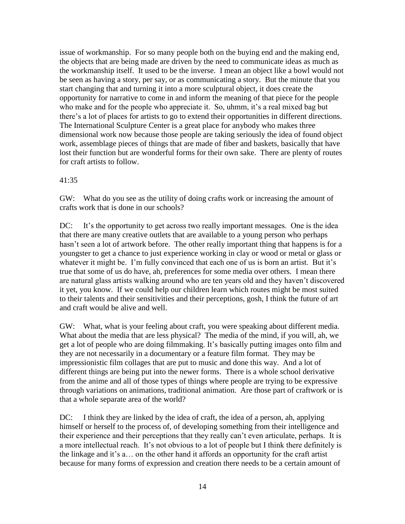issue of workmanship. For so many people both on the buying end and the making end, the objects that are being made are driven by the need to communicate ideas as much as the workmanship itself. It used to be the inverse. I mean an object like a bowl would not be seen as having a story, per say, or as communicating a story. But the minute that you start changing that and turning it into a more sculptural object, it does create the opportunity for narrative to come in and inform the meaning of that piece for the people who make and for the people who appreciate it. So, uhmm, it's a real mixed bag but there's a lot of places for artists to go to extend their opportunities in different directions. The International Sculpture Center is a great place for anybody who makes three dimensional work now because those people are taking seriously the idea of found object work, assemblage pieces of things that are made of fiber and baskets, basically that have lost their function but are wonderful forms for their own sake. There are plenty of routes for craft artists to follow.

### 41:35

GW: What do you see as the utility of doing crafts work or increasing the amount of crafts work that is done in our schools?

DC: It's the opportunity to get across two really important messages. One is the idea that there are many creative outlets that are available to a young person who perhaps hasn't seen a lot of artwork before. The other really important thing that happens is for a youngster to get a chance to just experience working in clay or wood or metal or glass or whatever it might be. I'm fully convinced that each one of us is born an artist. But it's true that some of us do have, ah, preferences for some media over others. I mean there are natural glass artists walking around who are ten years old and they haven't discovered it yet, you know. If we could help our children learn which routes might be most suited to their talents and their sensitivities and their perceptions, gosh, I think the future of art and craft would be alive and well.

GW: What, what is your feeling about craft, you were speaking about different media. What about the media that are less physical? The media of the mind, if you will, ah, we get a lot of people who are doing filmmaking. It's basically putting images onto film and they are not necessarily in a documentary or a feature film format. They may be impressionistic film collages that are put to music and done this way. And a lot of different things are being put into the newer forms. There is a whole school derivative from the anime and all of those types of things where people are trying to be expressive through variations on animations, traditional animation. Are those part of craftwork or is that a whole separate area of the world?

DC: I think they are linked by the idea of craft, the idea of a person, ah, applying himself or herself to the process of, of developing something from their intelligence and their experience and their perceptions that they really can't even articulate, perhaps. It is a more intellectual reach. It's not obvious to a lot of people but I think there definitely is the linkage and it's a… on the other hand it affords an opportunity for the craft artist because for many forms of expression and creation there needs to be a certain amount of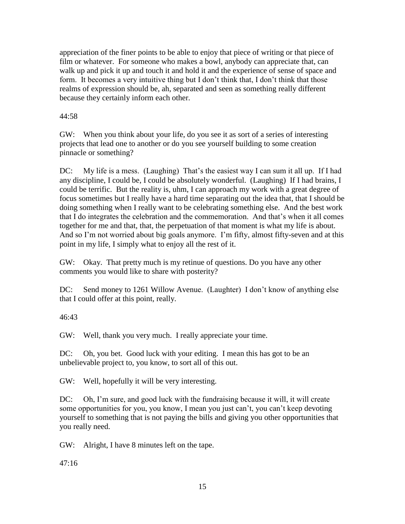appreciation of the finer points to be able to enjoy that piece of writing or that piece of film or whatever. For someone who makes a bowl, anybody can appreciate that, can walk up and pick it up and touch it and hold it and the experience of sense of space and form. It becomes a very intuitive thing but I don't think that, I don't think that those realms of expression should be, ah, separated and seen as something really different because they certainly inform each other.

44:58

GW: When you think about your life, do you see it as sort of a series of interesting projects that lead one to another or do you see yourself building to some creation pinnacle or something?

DC: My life is a mess. (Laughing) That's the easiest way I can sum it all up. If I had any discipline, I could be, I could be absolutely wonderful. (Laughing) If I had brains, I could be terrific. But the reality is, uhm, I can approach my work with a great degree of focus sometimes but I really have a hard time separating out the idea that, that I should be doing something when I really want to be celebrating something else. And the best work that I do integrates the celebration and the commemoration. And that's when it all comes together for me and that, that, the perpetuation of that moment is what my life is about. And so I'm not worried about big goals anymore. I'm fifty, almost fifty-seven and at this point in my life, I simply what to enjoy all the rest of it.

GW: Okay. That pretty much is my retinue of questions. Do you have any other comments you would like to share with posterity?

DC: Send money to 1261 Willow Avenue. (Laughter) I don't know of anything else that I could offer at this point, really.

 $46:43$ 

GW: Well, thank you very much. I really appreciate your time.

DC: Oh, you bet. Good luck with your editing. I mean this has got to be an unbelievable project to, you know, to sort all of this out.

GW: Well, hopefully it will be very interesting.

DC: Oh, I'm sure, and good luck with the fundraising because it will, it will create some opportunities for you, you know, I mean you just can't, you can't keep devoting yourself to something that is not paying the bills and giving you other opportunities that you really need.

GW: Alright, I have 8 minutes left on the tape.

47:16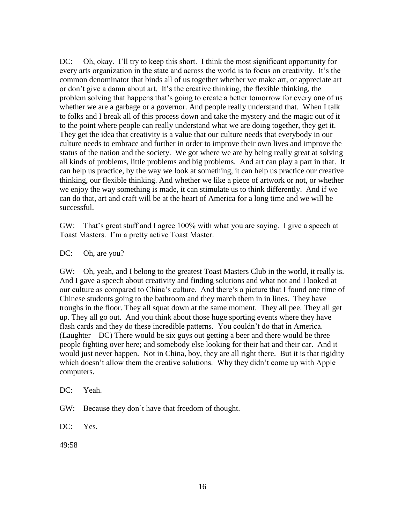DC: Oh, okay. I'll try to keep this short. I think the most significant opportunity for every arts organization in the state and across the world is to focus on creativity. It's the common denominator that binds all of us together whether we make art, or appreciate art or don't give a damn about art. It's the creative thinking, the flexible thinking, the problem solving that happens that's going to create a better tomorrow for every one of us whether we are a garbage or a governor. And people really understand that. When I talk to folks and I break all of this process down and take the mystery and the magic out of it to the point where people can really understand what we are doing together, they get it. They get the idea that creativity is a value that our culture needs that everybody in our culture needs to embrace and further in order to improve their own lives and improve the status of the nation and the society. We got where we are by being really great at solving all kinds of problems, little problems and big problems. And art can play a part in that. It can help us practice, by the way we look at something, it can help us practice our creative thinking, our flexible thinking. And whether we like a piece of artwork or not, or whether we enjoy the way something is made, it can stimulate us to think differently. And if we can do that, art and craft will be at the heart of America for a long time and we will be successful.

GW: That's great stuff and I agree 100% with what you are saying. I give a speech at Toast Masters. I'm a pretty active Toast Master.

DC: Oh, are you?

GW: Oh, yeah, and I belong to the greatest Toast Masters Club in the world, it really is. And I gave a speech about creativity and finding solutions and what not and I looked at our culture as compared to China's culture. And there's a picture that I found one time of Chinese students going to the bathroom and they march them in in lines. They have troughs in the floor. They all squat down at the same moment. They all pee. They all get up. They all go out. And you think about those huge sporting events where they have flash cards and they do these incredible patterns. You couldn't do that in America. (Laughter – DC) There would be six guys out getting a beer and there would be three people fighting over here; and somebody else looking for their hat and their car. And it would just never happen. Not in China, boy, they are all right there. But it is that rigidity which doesn't allow them the creative solutions. Why they didn't come up with Apple computers.

DC: Yeah.

GW: Because they don't have that freedom of thought.

DC: Yes.

49:58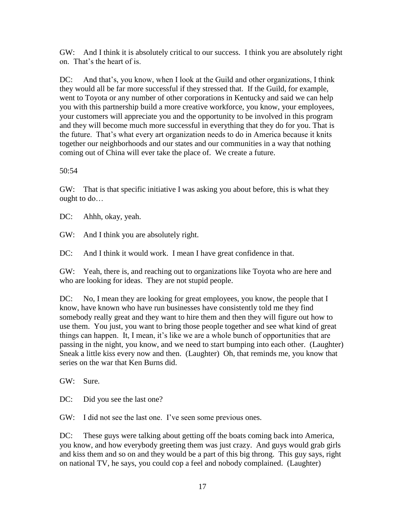GW: And I think it is absolutely critical to our success. I think you are absolutely right on. That's the heart of is.

DC: And that's, you know, when I look at the Guild and other organizations, I think they would all be far more successful if they stressed that. If the Guild, for example, went to Toyota or any number of other corporations in Kentucky and said we can help you with this partnership build a more creative workforce, you know, your employees, your customers will appreciate you and the opportunity to be involved in this program and they will become much more successful in everything that they do for you. That is the future. That's what every art organization needs to do in America because it knits together our neighborhoods and our states and our communities in a way that nothing coming out of China will ever take the place of. We create a future.

50:54

GW: That is that specific initiative I was asking you about before, this is what they ought to do…

DC: Ahhh, okay, yeah.

GW: And I think you are absolutely right.

DC: And I think it would work. I mean I have great confidence in that.

GW: Yeah, there is, and reaching out to organizations like Toyota who are here and who are looking for ideas. They are not stupid people.

DC: No, I mean they are looking for great employees, you know, the people that I know, have known who have run businesses have consistently told me they find somebody really great and they want to hire them and then they will figure out how to use them. You just, you want to bring those people together and see what kind of great things can happen. It, I mean, it's like we are a whole bunch of opportunities that are passing in the night, you know, and we need to start bumping into each other. (Laughter) Sneak a little kiss every now and then. (Laughter) Oh, that reminds me, you know that series on the war that Ken Burns did.

GW: Sure.

DC: Did you see the last one?

GW: I did not see the last one. I've seen some previous ones.

DC: These guys were talking about getting off the boats coming back into America, you know, and how everybody greeting them was just crazy. And guys would grab girls and kiss them and so on and they would be a part of this big throng. This guy says, right on national TV, he says, you could cop a feel and nobody complained. (Laughter)